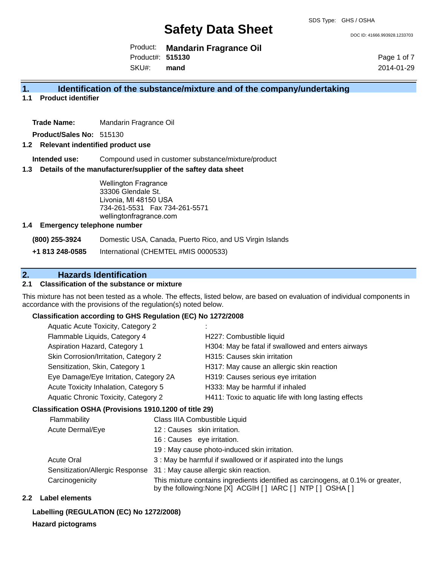DOC ID: 41666.993928.1233703

Product: **Mandarin Fragrance Oil** Product#: **515130**

SKU#: **mand** Page 1 of 7 2014-01-29

### **1. Identification of the substance/mixture and of the company/undertaking**

**1.1 Product identifier**

**Trade Name:** Mandarin Fragrance Oil

**Product/Sales No:** 515130

#### **1.2 Relevant indentified product use**

**Intended use:** Compound used in customer substance/mixture/product

#### **1.3 Details of the manufacturer/supplier of the saftey data sheet**

Wellington Fragrance 33306 Glendale St. Livonia, MI 48150 USA 734-261-5531 Fax 734-261-5571 wellingtonfragrance.com

#### **1.4 Emergency telephone number**

**(800) 255-3924** Domestic USA, Canada, Puerto Rico, and US Virgin Islands

**+1 813 248-0585** International (CHEMTEL #MIS 0000533)

## **2. Hazards Identification**

#### **2.1 Classification of the substance or mixture**

This mixture has not been tested as a whole. The effects, listed below, are based on evaluation of individual components in accordance with the provisions of the regulation(s) noted below.

#### **Classification according to GHS Regulation (EC) No 1272/2008**

| <b>Aquatic Acute Toxicity, Category 2</b> |                                                       |
|-------------------------------------------|-------------------------------------------------------|
| Flammable Liquids, Category 4             | H227: Combustible liquid                              |
| Aspiration Hazard, Category 1             | H304: May be fatal if swallowed and enters airways    |
| Skin Corrosion/Irritation, Category 2     | H315: Causes skin irritation                          |
| Sensitization, Skin, Category 1           | H317: May cause an allergic skin reaction             |
| Eye Damage/Eye Irritation, Category 2A    | H319: Causes serious eye irritation                   |
| Acute Toxicity Inhalation, Category 5     | H333: May be harmful if inhaled                       |
| Aquatic Chronic Toxicity, Category 2      | H411: Toxic to aquatic life with long lasting effects |
|                                           |                                                       |

#### **Classification OSHA (Provisions 1910.1200 of title 29)**

| Flammability                    | Class IIIA Combustible Liquid                                                                                                                      |
|---------------------------------|----------------------------------------------------------------------------------------------------------------------------------------------------|
| Acute Dermal/Eye                | 12: Causes skin irritation.                                                                                                                        |
|                                 | 16 : Causes eye irritation.                                                                                                                        |
|                                 | 19 : May cause photo-induced skin irritation.                                                                                                      |
| <b>Acute Oral</b>               | 3 : May be harmful if swallowed or if aspirated into the lungs                                                                                     |
| Sensitization/Allergic Response | 31 : May cause allergic skin reaction.                                                                                                             |
| Carcinogenicity                 | This mixture contains ingredients identified as carcinogens, at 0.1% or greater,<br>by the following: None [X] ACGIH [ ] IARC [ ] NTP [ ] OSHA [ ] |

#### **2.2 Label elements**

### **Labelling (REGULATION (EC) No 1272/2008)**

**Hazard pictograms**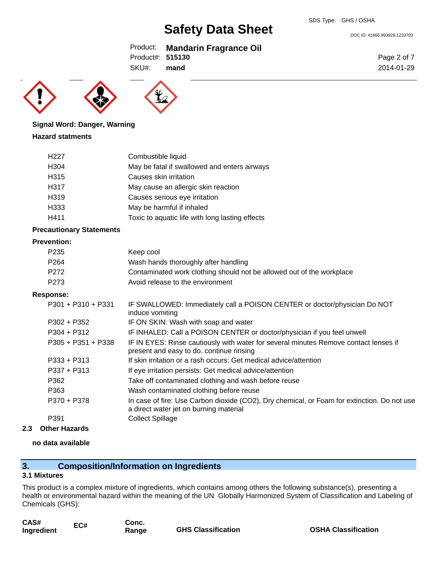DOC ID: 41666.993928.1233703

### Product: **Mandarin Fragrance Oil**

Product#: **515130**

SKU#: **mand**





## **Signal Word: Danger, Warning**

#### **Hazard statments**

| H <sub>22</sub> 7 | Combustible liquid                              |
|-------------------|-------------------------------------------------|
| H <sub>304</sub>  | May be fatal if swallowed and enters airways    |
| H315              | Causes skin irritation                          |
| H317              | May cause an allergic skin reaction             |
| H319              | Causes serious eye irritation                   |
| H333              | May be harmful if inhaled                       |
| H411              | Toxic to aquatic life with long lasting effects |

#### **Precautionary Statements**

#### **Prevention:**

| P <sub>235</sub> | Keep cool                                                             |
|------------------|-----------------------------------------------------------------------|
| P <sub>264</sub> | Wash hands thoroughly after handling                                  |
| P272             | Contaminated work clothing should not be allowed out of the workplace |
| P273             | Avoid release to the environment                                      |

#### **Response:**

| $P301 + P310 + P331$ | IF SWALLOWED: Immediately call a POISON CENTER or doctor/physician Do NOT<br>induce vomiting                                          |
|----------------------|---------------------------------------------------------------------------------------------------------------------------------------|
| $P302 + P352$        | IF ON SKIN: Wash with soap and water                                                                                                  |
| $P304 + P312$        | IF INHALED: Call a POISON CENTER or doctor/physician if you feel unwell                                                               |
| $P305 + P351 + P338$ | IF IN EYES: Rinse cautiously with water for several minutes Remove contact lenses if<br>present and easy to do. continue rinsing      |
| $P333 + P313$        | If skin irritation or a rash occurs: Get medical advice/attention                                                                     |
| $P337 + P313$        | If eye irritation persists: Get medical advice/attention                                                                              |
| P362                 | Take off contaminated clothing and wash before reuse                                                                                  |
| P363                 | Wash contaminated clothing before reuse                                                                                               |
| P370 + P378          | In case of fire: Use Carbon dioxide (CO2), Dry chemical, or Foam for extinction. Do not use<br>a direct water jet on burning material |
| P391                 | <b>Collect Spillage</b>                                                                                                               |

**2.3 Other Hazards**

#### **no data available**

## **3. Composition/Information on Ingredients**

#### **3.1 Mixtures**

This product is a complex mixture of ingredients, which contains among others the following substance(s), presenting a health or environmental hazard within the meaning of the UN Globally Harmonized System of Classification and Labeling of Chemicals (GHS):

| CAS#       | EC# | Conc. |                           |
|------------|-----|-------|---------------------------|
| Ingredient |     | Range | <b>GHS Classification</b> |

Page 2 of 7 2014-01-29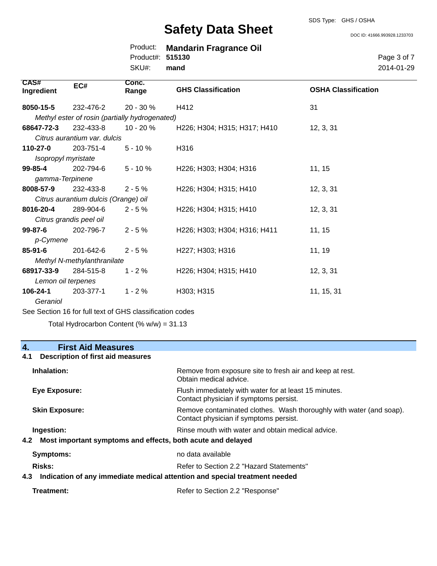#### SDS Type: GHS / OSHA

## **Safety Data Sheet**

DOC ID: 41666.993928.1233703

|                  | Product: Mandarin Fragrance Oil |
|------------------|---------------------------------|
| Product#: 515130 |                                 |
| SKU#: mand       |                                 |

Page 3 of 7 2014-01-29

| <b>CAS#</b><br>Ingredient | EC#                                  | Conc.<br>Range                                 | <b>GHS Classification</b>    | <b>OSHA Classification</b> |
|---------------------------|--------------------------------------|------------------------------------------------|------------------------------|----------------------------|
| 8050-15-5                 | 232-476-2                            | 20 - 30 %                                      | H412                         | 31                         |
|                           |                                      | Methyl ester of rosin (partially hydrogenated) |                              |                            |
| 68647-72-3                | 232-433-8                            | $10 - 20 \%$                                   | H226; H304; H315; H317; H410 | 12, 3, 31                  |
|                           | Citrus aurantium var. dulcis         |                                                |                              |                            |
| $110 - 27 - 0$            | 203-751-4                            | $5 - 10%$                                      | H316                         |                            |
|                           | Isopropyl myristate                  |                                                |                              |                            |
| $99 - 85 - 4$             | 202-794-6                            | $5 - 10%$                                      | H226; H303; H304; H316       | 11, 15                     |
| gamma-Terpinene           |                                      |                                                |                              |                            |
| 8008-57-9                 | 232-433-8                            | $2 - 5%$                                       | H226; H304; H315; H410       | 12, 3, 31                  |
|                           | Citrus aurantium dulcis (Orange) oil |                                                |                              |                            |
| 8016-20-4                 | 289-904-6                            | $2 - 5%$                                       | H226; H304; H315; H410       | 12, 3, 31                  |
|                           | Citrus grandis peel oil              |                                                |                              |                            |
| $99 - 87 - 6$             | 202-796-7                            | $2 - 5%$                                       | H226; H303; H304; H316; H411 | 11, 15                     |
| p-Cymene                  |                                      |                                                |                              |                            |
| $85 - 91 - 6$             | 201-642-6                            | $2 - 5%$                                       | H227; H303; H316             | 11, 19                     |
|                           | Methyl N-methylanthranilate          |                                                |                              |                            |
| 68917-33-9                | 284-515-8                            | $1 - 2%$                                       | H226; H304; H315; H410       | 12, 3, 31                  |
|                           | Lemon oil terpenes                   |                                                |                              |                            |
| 106-24-1                  | 203-377-1                            | $1 - 2%$                                       | H303; H315                   | 11, 15, 31                 |
| Geraniol                  |                                      |                                                |                              |                            |

See Section 16 for full text of GHS classification codes

Total Hydrocarbon Content (% w/w) = 31.13

# **4. First Aid Measures**

### **4.1 Description of first aid measures**

| Inhalation:                                                        | Remove from exposure site to fresh air and keep at rest.<br>Obtain medical advice.                            |
|--------------------------------------------------------------------|---------------------------------------------------------------------------------------------------------------|
| Eye Exposure:                                                      | Flush immediately with water for at least 15 minutes.<br>Contact physician if symptoms persist.               |
| <b>Skin Exposure:</b>                                              | Remove contaminated clothes. Wash thoroughly with water (and soap).<br>Contact physician if symptoms persist. |
| Ingestion:                                                         | Rinse mouth with water and obtain medical advice.                                                             |
| Most important symptoms and effects, both acute and delayed<br>4.2 |                                                                                                               |
| Symptoms:                                                          | no data available                                                                                             |
| <b>Risks:</b>                                                      | Refer to Section 2.2 "Hazard Statements"                                                                      |
|                                                                    | hohoon taamteest leisoga hae aaitaatte lesihom oteihommi yae to aaitesihal - S-h                              |

#### **4.3 Indication of any immediate medical attention and special treatment needed**

| Treatment: | Refer to Section 2.2 "Response" |
|------------|---------------------------------|
|------------|---------------------------------|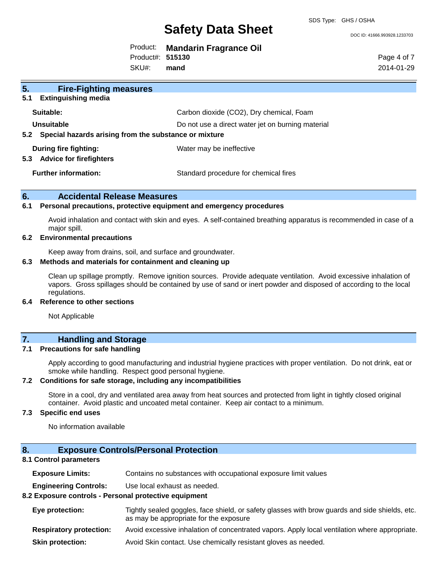DOC ID: 41666.993928.1233703

| Product: Mandarin Fragrance Oil |  |
|---------------------------------|--|
|---------------------------------|--|

Product#: **515130**

SKU#: **mand** Page 4 of 7 2014-01-29

| 5.<br><b>Fire-Fighting measures</b>                            |                                                   |
|----------------------------------------------------------------|---------------------------------------------------|
| <b>Extinguishing media</b><br>5.1                              |                                                   |
| Suitable:                                                      | Carbon dioxide (CO2), Dry chemical, Foam          |
| Unsuitable                                                     | Do not use a direct water jet on burning material |
| 5.2 Special hazards arising from the substance or mixture      |                                                   |
| During fire fighting:<br><b>Advice for firefighters</b><br>5.3 | Water may be ineffective                          |
| <b>Further information:</b>                                    | Standard procedure for chemical fires             |

#### **6. Accidental Release Measures**

#### **6.1 Personal precautions, protective equipment and emergency procedures**

Avoid inhalation and contact with skin and eyes. A self-contained breathing apparatus is recommended in case of a major spill.

#### **6.2 Environmental precautions**

Keep away from drains, soil, and surface and groundwater.

#### **6.3 Methods and materials for containment and cleaning up**

Clean up spillage promptly. Remove ignition sources. Provide adequate ventilation. Avoid excessive inhalation of vapors. Gross spillages should be contained by use of sand or inert powder and disposed of according to the local regulations.

#### **6.4 Reference to other sections**

Not Applicable

### **7. Handling and Storage**

#### **7.1 Precautions for safe handling**

Apply according to good manufacturing and industrial hygiene practices with proper ventilation. Do not drink, eat or smoke while handling. Respect good personal hygiene.

#### **7.2 Conditions for safe storage, including any incompatibilities**

Store in a cool, dry and ventilated area away from heat sources and protected from light in tightly closed original container. Avoid plastic and uncoated metal container. Keep air contact to a minimum.

#### **7.3 Specific end uses**

No information available

### **8. Exposure Controls/Personal Protection**

#### **8.1 Control parameters**

| <b>Exposure Limits:</b>                               | Contains no substances with occupational exposure limit values                                                                           |  |  |
|-------------------------------------------------------|------------------------------------------------------------------------------------------------------------------------------------------|--|--|
| <b>Engineering Controls:</b>                          | Use local exhaust as needed.                                                                                                             |  |  |
| 8.2 Exposure controls - Personal protective equipment |                                                                                                                                          |  |  |
| Eye protection:                                       | Tightly sealed goggles, face shield, or safety glasses with brow guards and side shields, etc.<br>as may be appropriate for the exposure |  |  |
| <b>Respiratory protection:</b>                        | Avoid excessive inhalation of concentrated vapors. Apply local ventilation where appropriate.                                            |  |  |
| <b>Skin protection:</b>                               | Avoid Skin contact. Use chemically resistant gloves as needed.                                                                           |  |  |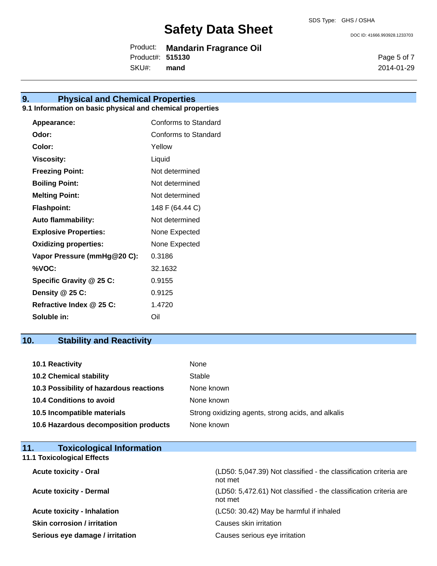DOC ID: 41666.993928.1233703

Product: **Mandarin Fragrance Oil** Product#: **515130**

SKU#: **mand** Page 5 of 7 2014-01-29

## **9. Physical and Chemical Properties**

#### **9.1 Information on basic physical and chemical properties**

| Appearance:                  | <b>Conforms to Standard</b> |
|------------------------------|-----------------------------|
| Odor:                        | Conforms to Standard        |
| Color:                       | Yellow                      |
| <b>Viscosity:</b>            | Liquid                      |
| <b>Freezing Point:</b>       | Not determined              |
| <b>Boiling Point:</b>        | Not determined              |
| <b>Melting Point:</b>        | Not determined              |
| <b>Flashpoint:</b>           | 148 F (64.44 C)             |
| <b>Auto flammability:</b>    | Not determined              |
| <b>Explosive Properties:</b> | None Expected               |
| <b>Oxidizing properties:</b> | None Expected               |
| Vapor Pressure (mmHg@20 C):  | 0.3186                      |
| %VOC:                        | 32.1632                     |
| Specific Gravity @ 25 C:     | 0.9155                      |
| Density @ 25 C:              | 0.9125                      |
| Refractive Index @ 25 C:     | 1.4720                      |
| Soluble in:                  | Oil                         |

## **10. Stability and Reactivity**

| 10.1 Reactivity                         | None                                               |
|-----------------------------------------|----------------------------------------------------|
| <b>10.2 Chemical stability</b>          | Stable                                             |
| 10.3 Possibility of hazardous reactions | None known                                         |
| <b>10.4 Conditions to avoid</b>         | None known                                         |
| 10.5 Incompatible materials             | Strong oxidizing agents, strong acids, and alkalis |
| 10.6 Hazardous decomposition products   | None known                                         |

| 11.<br><b>Toxicological Information</b> |                                                                              |
|-----------------------------------------|------------------------------------------------------------------------------|
| <b>11.1 Toxicological Effects</b>       |                                                                              |
| <b>Acute toxicity - Oral</b>            | (LD50: 5,047.39) Not classified - the classification criteria are<br>not met |
| <b>Acute toxicity - Dermal</b>          | (LD50: 5,472.61) Not classified - the classification criteria are<br>not met |
| <b>Acute toxicity - Inhalation</b>      | (LC50: 30.42) May be harmful if inhaled                                      |

**Skin corrosion / irritation** Causes skin irritation

**Serious eye damage / irritation** Causes serious eye irritation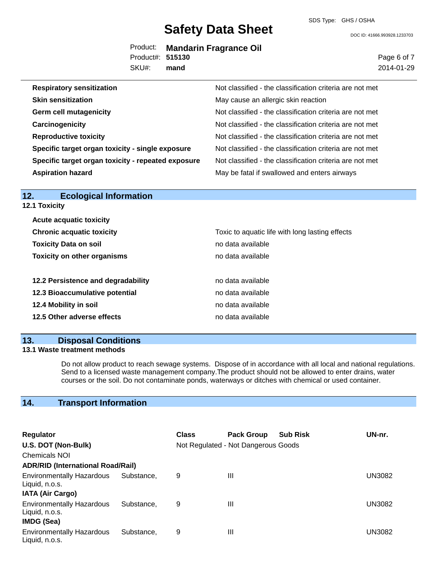SDS Type: GHS / OSHA

DOC ID: 41666.993928.1233703

|                  | Product: Mandarin Fragrance Oil |
|------------------|---------------------------------|
| Product#: 515130 |                                 |
| SKU#: mand       |                                 |

Page 6 of 7 2014-01-29

| <b>Respiratory sensitization</b>                   | Not classified - the classification criteria are not met |
|----------------------------------------------------|----------------------------------------------------------|
| <b>Skin sensitization</b>                          | May cause an allergic skin reaction                      |
| <b>Germ cell mutagenicity</b>                      | Not classified - the classification criteria are not met |
| Carcinogenicity                                    | Not classified - the classification criteria are not met |
| <b>Reproductive toxicity</b>                       | Not classified - the classification criteria are not met |
| Specific target organ toxicity - single exposure   | Not classified - the classification criteria are not met |
| Specific target organ toxicity - repeated exposure | Not classified - the classification criteria are not met |
| <b>Aspiration hazard</b>                           | May be fatal if swallowed and enters airways             |

| 12.<br><b>Ecological Information</b> |                                                 |
|--------------------------------------|-------------------------------------------------|
| <b>12.1 Toxicity</b>                 |                                                 |
| <b>Acute acquatic toxicity</b>       |                                                 |
| <b>Chronic acquatic toxicity</b>     | Toxic to aquatic life with long lasting effects |
| <b>Toxicity Data on soil</b>         | no data available                               |
| <b>Toxicity on other organisms</b>   | no data available                               |
| 12.2 Persistence and degradability   | no data available                               |
| 12.3 Bioaccumulative potential       | no data available                               |
| 12.4 Mobility in soil                | no data available                               |
| 12.5 Other adverse effects           | no data available                               |
|                                      |                                                 |

## **13. Disposal Conditions**

#### **13.1 Waste treatment methods**

Do not allow product to reach sewage systems. Dispose of in accordance with all local and national regulations. Send to a licensed waste management company.The product should not be allowed to enter drains, water courses or the soil. Do not contaminate ponds, waterways or ditches with chemical or used container.

## **14. Transport Information**

| <b>Regulator</b>                                                              |            | <b>Class</b> | <b>Pack Group</b>                   | <b>Sub Risk</b> | UN-nr. |
|-------------------------------------------------------------------------------|------------|--------------|-------------------------------------|-----------------|--------|
| U.S. DOT (Non-Bulk)                                                           |            |              | Not Regulated - Not Dangerous Goods |                 |        |
| <b>Chemicals NOI</b>                                                          |            |              |                                     |                 |        |
| <b>ADR/RID (International Road/Rail)</b>                                      |            |              |                                     |                 |        |
| <b>Environmentally Hazardous</b><br>Liquid, n.o.s.<br><b>IATA (Air Cargo)</b> | Substance. | 9            | Ш                                   |                 | UN3082 |
| <b>Environmentally Hazardous</b><br>Liquid, n.o.s.<br>IMDG (Sea)              | Substance. | 9            | Ш                                   |                 | UN3082 |
| <b>Environmentally Hazardous</b><br>Liquid, n.o.s.                            | Substance, | 9            | Ш                                   |                 | UN3082 |